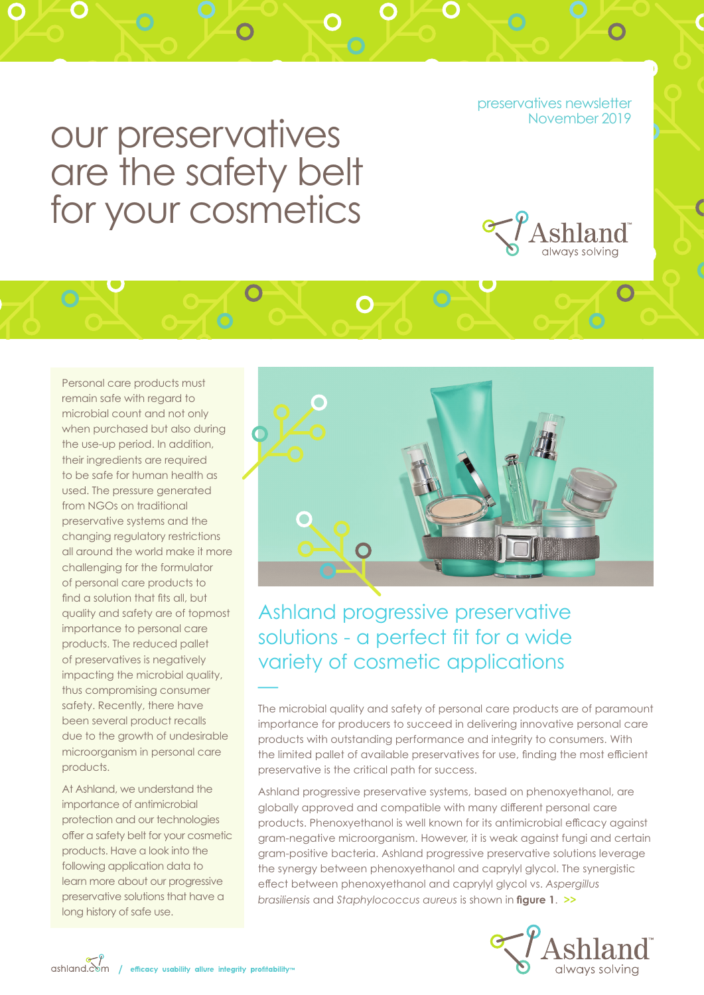preservatives newsletter<br>November 2019

# our preservatives are the safety belt for your cosmetics



Personal care products must remain safe with regard to microbial count and not only when purchased but also during the use-up period. In addition, their ingredients are required to be safe for human health as used. The pressure generated from NGOs on traditional preservative systems and the changing regulatory restrictions all around the world make it more challenging for the formulator of personal care products to find a solution that fits all, but quality and safety are of topmost importance to personal care products. The reduced pallet of preservatives is negatively impacting the microbial quality, thus compromising consumer safety. Recently, there have been several product recalls due to the growth of undesirable microorganism in personal care products.

—

At Ashland, we understand the importance of antimicrobial protection and our technologies offer a safety belt for your cosmetic products. Have a look into the following application data to learn more about our progressive preservative solutions that have a long history of safe use.



Ashland progressive preservative solutions - a perfect fit for a wide variety of cosmetic applications

The microbial quality and safety of personal care products are of paramount importance for producers to succeed in delivering innovative personal care products with outstanding performance and integrity to consumers. With the limited pallet of available preservatives for use, finding the most efficient preservative is the critical path for success.

Ashland progressive preservative systems, based on phenoxyethanol, are globally approved and compatible with many different personal care products. Phenoxyethanol is well known for its antimicrobial efficacy against gram-negative microorganism. However, it is weak against fungi and certain gram-positive bacteria. Ashland progressive preservative solutions leverage the synergy between phenoxyethanol and caprylyl glycol. The synergistic effect between phenoxyethanol and caprylyl glycol vs. *Aspergillus brasiliensis* and *Staphylococcus aureus* is shown in **figure 1**. **>>**



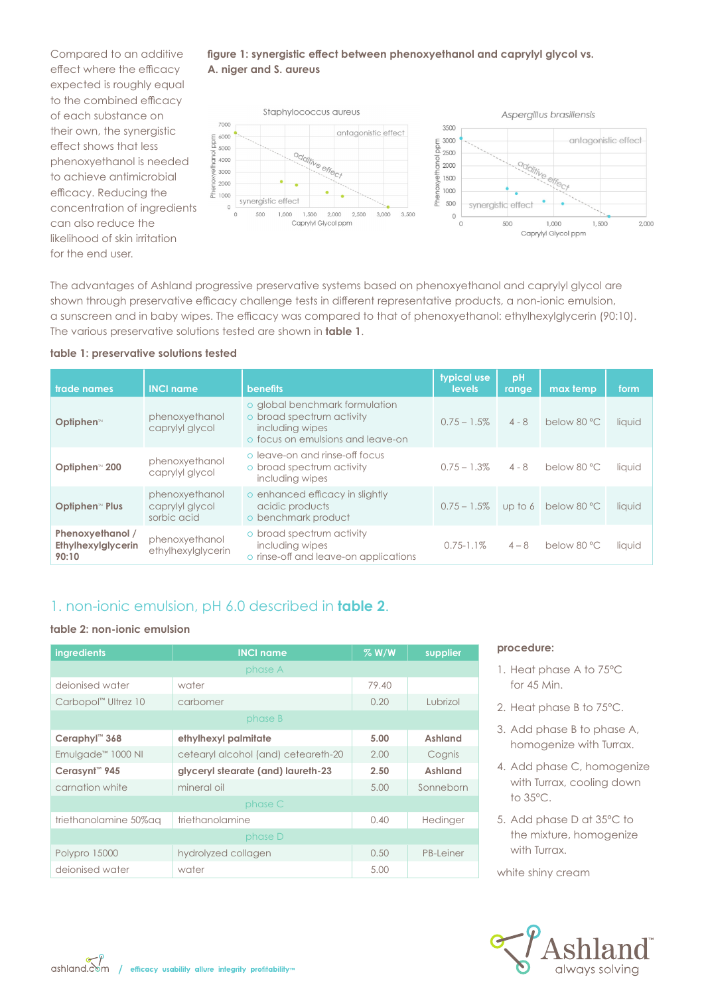Compared to an additive effect where the efficacy expected is roughly equal to the combined efficacy of each substance on their own, the synergistic effect shows that less phenoxyethanol is needed to achieve antimicrobial efficacy. Reducing the concentration of ingredients can also reduce the likelihood of skin irritation for the end user.





The advantages of Ashland progressive preservative systems based on phenoxyethanol and caprylyl glycol are shown through preservative efficacy challenge tests in different representative products, a non-ionic emulsion, a sunscreen and in baby wipes. The efficacy was compared to that of phenoxyethanol: ethylhexylglycerin (90:10). The various preservative solutions tested are shown in **table 1**.

#### **table 1: preservative solutions tested**

| trade names                                     | <b>INCI name</b>                                 | <b>benefits</b>                                                                                                     | typical use<br>levels | pH<br>range | max temp                      | form   |
|-------------------------------------------------|--------------------------------------------------|---------------------------------------------------------------------------------------------------------------------|-----------------------|-------------|-------------------------------|--------|
| Optiphen™                                       | phenoxyethanol<br>caprylyl glycol                | o global benchmark formulation<br>o broad spectrum activity<br>including wipes<br>o focus on emulsions and leave-on | $0.75 - 1.5\%$        | $4 - 8$     | below 80 °C                   | liquid |
| Optiphen <sup>™</sup> 200                       | phenoxyethanol<br>caprylyl glycol                | o leave-on and rinse-off focus<br>o broad spectrum activity<br>including wipes                                      | $0.75 - 1.3\%$        | $4 - 8$     | below 80 °C                   | liquid |
| <b>Optiphen<sup>™</sup> Plus</b>                | phenoxyethanol<br>caprylyl glycol<br>sorbic acid | o enhanced efficacy in slightly<br>acidic products<br>o benchmark product                                           | $0.75 - 1.5\%$        |             | up to 6 below 80 $^{\circ}$ C | liquid |
| Phenoxyethanol /<br>Ethylhexylglycerin<br>90:10 | phenoxyethanol<br>ethylhexylglycerin             | o broad spectrum activity<br>including wipes<br>o rinse-off and leave-on applications                               | $0.75 - 1.1\%$        | $4 - 8$     | below 80 °C                   | liquid |

#### 1. non-ionic emulsion, pH 6.0 described in **table 2**.

#### **table 2: non-ionic emulsion**

| ingredients                     | <b>INCI name</b>                    | $%$ W/W | supplier  |  |  |  |  |  |  |  |
|---------------------------------|-------------------------------------|---------|-----------|--|--|--|--|--|--|--|
| phase A                         |                                     |         |           |  |  |  |  |  |  |  |
| deionised water                 | water                               | 79.40   |           |  |  |  |  |  |  |  |
| Carbopol <sup>™</sup> Ultrez 10 | carbomer                            | 0.20    | Lubrizol  |  |  |  |  |  |  |  |
| phase B                         |                                     |         |           |  |  |  |  |  |  |  |
| Ceraphyl <sup>™</sup> 368       | ethylhexyl palmitate                | 5.00    | Ashland   |  |  |  |  |  |  |  |
| Emulgade <sup>™</sup> 1000 NI   | cetearyl alcohol (and) ceteareth-20 | 2.00    | Cognis    |  |  |  |  |  |  |  |
| Cerasynt <sup>™</sup> 945       | glyceryl stearate (and) laureth-23  | 2.50    | Ashland   |  |  |  |  |  |  |  |
| carnation white                 | mineral oil                         | 5.00    | Sonneborn |  |  |  |  |  |  |  |
|                                 | phase C                             |         |           |  |  |  |  |  |  |  |
| triethanolamine 50% ag          | triethanolamine                     | 0.40    | Hedinger  |  |  |  |  |  |  |  |
|                                 | phase D                             |         |           |  |  |  |  |  |  |  |
| Polypro 15000                   | hydrolyzed collagen                 | 0.50    | PB-Leiner |  |  |  |  |  |  |  |
| deionised water                 | water                               | 5.00    |           |  |  |  |  |  |  |  |

#### **procedure:**

- 1. Heat phase A to 75°C for 45 Min.
- 2. Heat phase B to 75°C.
- 3. Add phase B to phase A, homogenize with Turrax.
- 4. Add phase C, homogenize with Turrax, cooling down to 35°C.
- 5. Add phase D at 35°C to the mixture, homogenize with Turrax.

white shiny cream

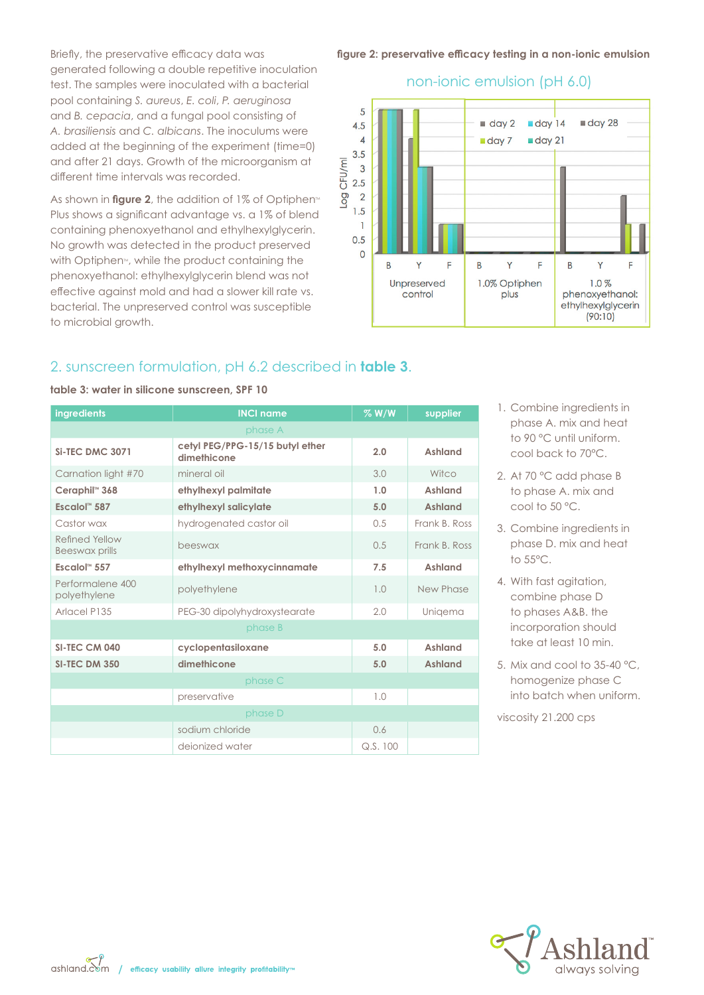Briefly, the preservative efficacy data was generated following a double repetitive inoculation test. The samples were inoculated with a bacterial pool containing *S. aureus*, *E. coli*, *P. aeruginosa*  and *B. cepacia*, and a fungal pool consisting of *A. brasiliensis* and *C. albicans*. The inoculums were added at the beginning of the experiment (time=0) and after 21 days. Growth of the microorganism at different time intervals was recorded.

As shown in **figure 2**, the addition of 1% of Optiphen<sup>®</sup> Plus shows a significant advantage vs. a 1% of blend containing phenoxyethanol and ethylhexylglycerin. No growth was detected in the product preserved with Optiphen<sup>M</sup>, while the product containing the phenoxyethanol: ethylhexylglycerin blend was not effective against mold and had a slower kill rate vs. bacterial. The unpreserved control was susceptible to microbial growth.

#### **figure 2: preservative efficacy testing in a non-ionic emulsion**



#### non-ionic emulsion (pH 6.0)

### 2. sunscreen formulation, pH 6.2 described in **table 3**.

| ingredients                      | <b>INCI name</b>                               | $%$ W/W | supplier       |
|----------------------------------|------------------------------------------------|---------|----------------|
|                                  | phase A                                        |         |                |
| <b>Si-TEC DMC 3071</b>           | cetyl PEG/PPG-15/15 butyl ether<br>dimethicone | 2.0     | Ashland        |
| Carnation light #70              | mineral oil                                    | 3.0     | Witco          |
| Ceraphil <sup>™</sup> 368        | ethylhexyl palmitate                           | 1.0     | Ashland        |
| Escalol <sup>"</sup> 587         | ethylhexyl salicylate                          | 5.0     | <b>Ashland</b> |
| Castor wax                       | hydrogenated castor oil                        | 0.5     | Frank B. Ross  |
| Refined Yellow<br>Beeswax prills | beeswax                                        | 0.5     | Frank B. Ross  |
| Escalol <sup>"</sup> 557         | ethylhexyl methoxycinnamate                    | 7.5     | <b>Ashland</b> |
| Performalene 400<br>polyethylene | polyethylene                                   | 1.0     | New Phase      |
| Arlacel P135                     | PEG-30 dipolyhydroxystearate                   | 2.0     | Unigema        |
|                                  | phase B                                        |         |                |
| SI-TEC CM 040                    | cyclopentasiloxane                             | 5.0     | Ashland        |
| SI-TEC DM 350                    | dimethicone                                    | 5.0     | <b>Ashland</b> |
|                                  | phase C                                        |         |                |
|                                  | preservative                                   | 1.0     |                |
|                                  | phase D                                        |         |                |
|                                  | sodium chloride                                | 0.6     |                |
|                                  | deionized water                                | Q.S.100 |                |

**table 3: water in silicone sunscreen, SPF 10** 

- 1. Combine ingredients in phase A. mix and heat to 90 °C until uniform. cool back to 70°C.
- 2. At 70 °C add phase B to phase A. mix and cool to 50 °C.
- 3. Combine ingredients in phase D. mix and heat to 55°C.
- 4. With fast agitation, combine phase D to phases A&B. the incorporation should take at least 10 min.
- 5. Mix and cool to 35-40 °C, homogenize phase C into batch when uniform.

viscosity 21.200 cps



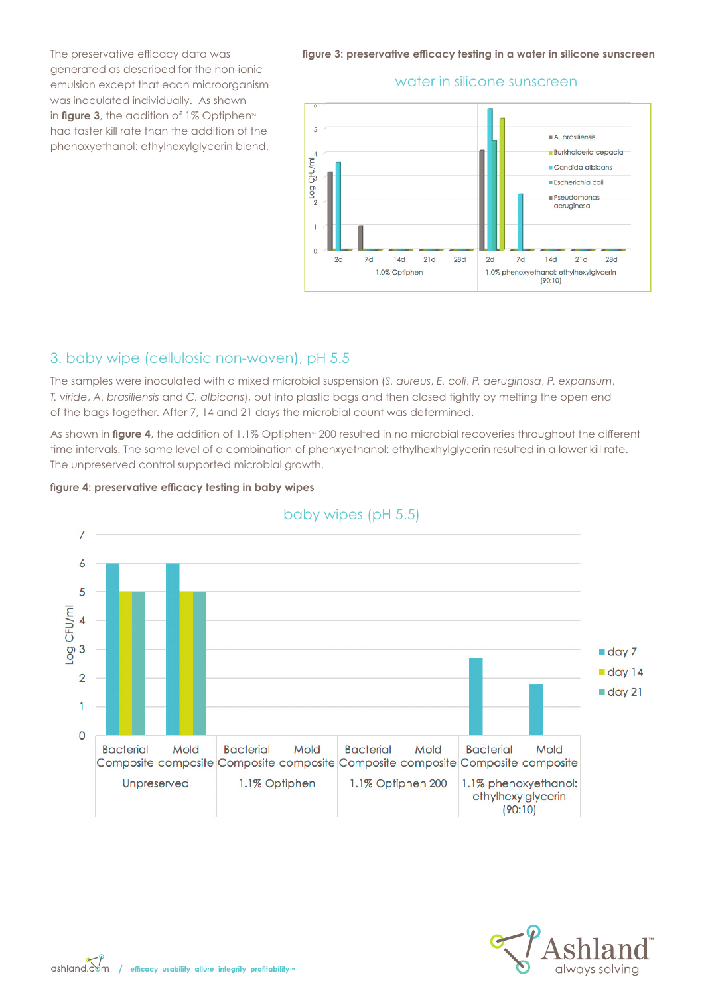The preservative efficacy data was generated as described for the non-ionic emulsion except that each microorganism was inoculated individually. As shown in **figure 3**, the addition of  $1\%$  Optiphen<sup> $M$ </sup> had faster kill rate than the addition of the phenoxyethanol: ethylhexylglycerin blend.

**figure 3: preservative efficacy testing in a water in silicone sunscreen** 

#### water in silicone sunscreen



#### 3. baby wipe (cellulosic non-woven), pH 5.5

The samples were inoculated with a mixed microbial suspension (*S. aureus*, *E. coli*, *P. aeruginosa*, *P. expansum*, *T. viride*, *A. brasiliensis* and *C. albicans*), put into plastic bags and then closed tightly by melting the open end of the bags together. After 7, 14 and 21 days the microbial count was determined.

As shown in **figure 4**, the addition of 1.1% Optiphen<sup>®</sup> 200 resulted in no microbial recoveries throughout the different time intervals. The same level of a combination of phenxyethanol: ethylhexhylglycerin resulted in a lower kill rate. The unpreserved control supported microbial growth.





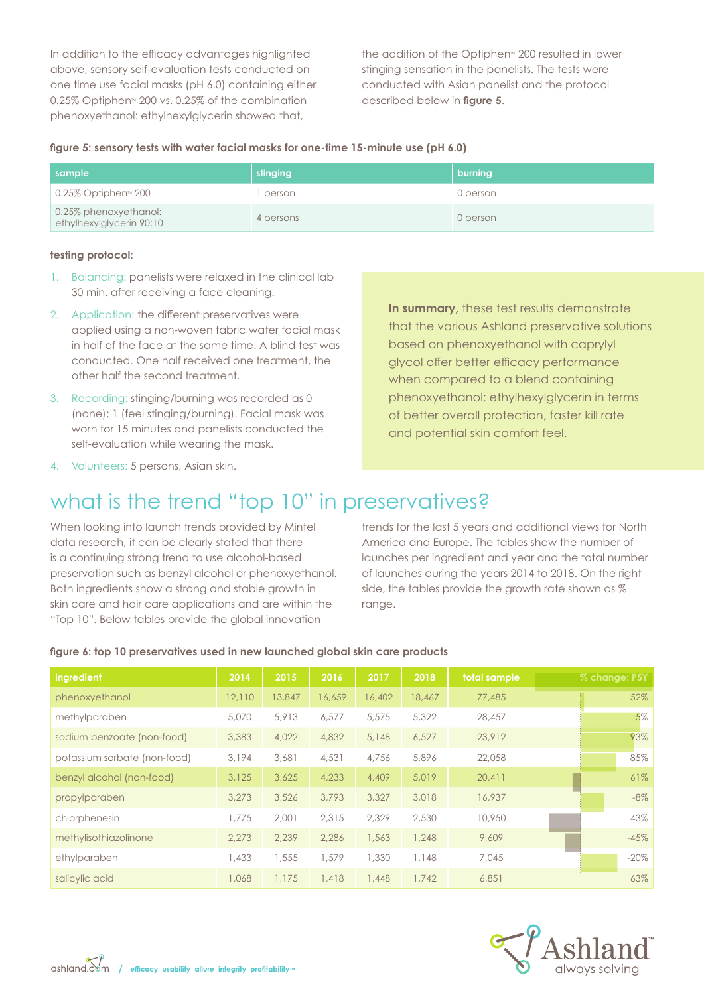In addition to the efficacy advantages highlighted above, sensory self-evaluation tests conducted on one time use facial masks (pH 6.0) containing either  $0.25\%$  Optiphen $\text{M}$  200 vs. 0.25% of the combination phenoxyethanol: ethylhexylglycerin showed that,

the addition of the Optiphen $M$  200 resulted in lower stinging sensation in the panelists. The tests were conducted with Asian panelist and the protocol described below in **figure 5**.

|  |  |  |  | figure 5: sensory tests with water facial masks for one-time 15-minute use (pH 6.0) |  |  |  |
|--|--|--|--|-------------------------------------------------------------------------------------|--|--|--|
|  |  |  |  |                                                                                     |  |  |  |

| sample                                            | stinging  | burning  |
|---------------------------------------------------|-----------|----------|
| 0.25% Optiphen™ 200                               | person    | 0 person |
| 0.25% phenoxyethanol:<br>ethylhexylglycerin 90:10 | 4 persons | 0 person |

#### **testing protocol:**

- 1. Balancing: panelists were relaxed in the clinical lab 30 min. after receiving a face cleaning.
- 2. Application: the different preservatives were applied using a non-woven fabric water facial mask in half of the face at the same time. A blind test was conducted. One half received one treatment, the other half the second treatment.
- 3. Recording: stinging/burning was recorded as 0 (none); 1 (feel stinging/burning). Facial mask was worn for 15 minutes and panelists conducted the self-evaluation while wearing the mask.

**In summary, these test results demonstrate** that the various Ashland preservative solutions based on phenoxyethanol with caprylyl glycol offer better efficacy performance when compared to a blend containing phenoxyethanol: ethylhexylglycerin in terms of better overall protection, faster kill rate and potential skin comfort feel.

4. Volunteers: 5 persons, Asian skin.

### what is the trend "top 10" in preservatives?

When looking into launch trends provided by Mintel data research, it can be clearly stated that there is a continuing strong trend to use alcohol-based preservation such as benzyl alcohol or phenoxyethanol. Both ingredients show a strong and stable growth in skin care and hair care applications and are within the "Top 10". Below tables provide the global innovation

trends for the last 5 years and additional views for North America and Europe. The tables show the number of launches per ingredient and year and the total number of launches during the years 2014 to 2018. On the right side, the tables provide the growth rate shown as % range.

| ingredient                   | 2014   | 2015   | 2016   | 2017   | 2018   | total sample | % change: P5Y |         |
|------------------------------|--------|--------|--------|--------|--------|--------------|---------------|---------|
| phenoxyethanol               | 12,110 | 13,847 | 16,659 | 16,402 | 18,467 | 77,485       |               | 52%     |
| methylparaben                | 5,070  | 5,913  | 6,577  | 5,575  | 5,322  | 28,457       |               | 5%      |
| sodium benzoate (non-food)   | 3,383  | 4,022  | 4,832  | 5,148  | 6,527  | 23,912       |               | 93%     |
| potassium sorbate (non-food) | 3,194  | 3,681  | 4,531  | 4,756  | 5,896  | 22,058       |               | 85%     |
| benzyl alcohol (non-food)    | 3.125  | 3,625  | 4,233  | 4,409  | 5,019  | 20.411       |               | 61%     |
| propylparaben                | 3,273  | 3,526  | 3,793  | 3,327  | 3,018  | 16,937       |               | $-8\%$  |
| chlorphenesin                | 1,775  | 2,001  | 2,315  | 2,329  | 2,530  | 10,950       |               | 43%     |
| methylisothiazolinone        | 2,273  | 2,239  | 2,286  | 1,563  | 1,248  | 9,609        |               | $-45%$  |
| ethylparaben                 | 1,433  | 1,555  | 1.579  | 1,330  | 1,148  | 7.045        |               | $-20\%$ |
| salicylic acid               | 1,068  | 1,175  | 1,418  | 1,448  | 1,742  | 6,851        |               | 63%     |

#### **figure 6: top 10 preservatives used in new launched global skin care products**

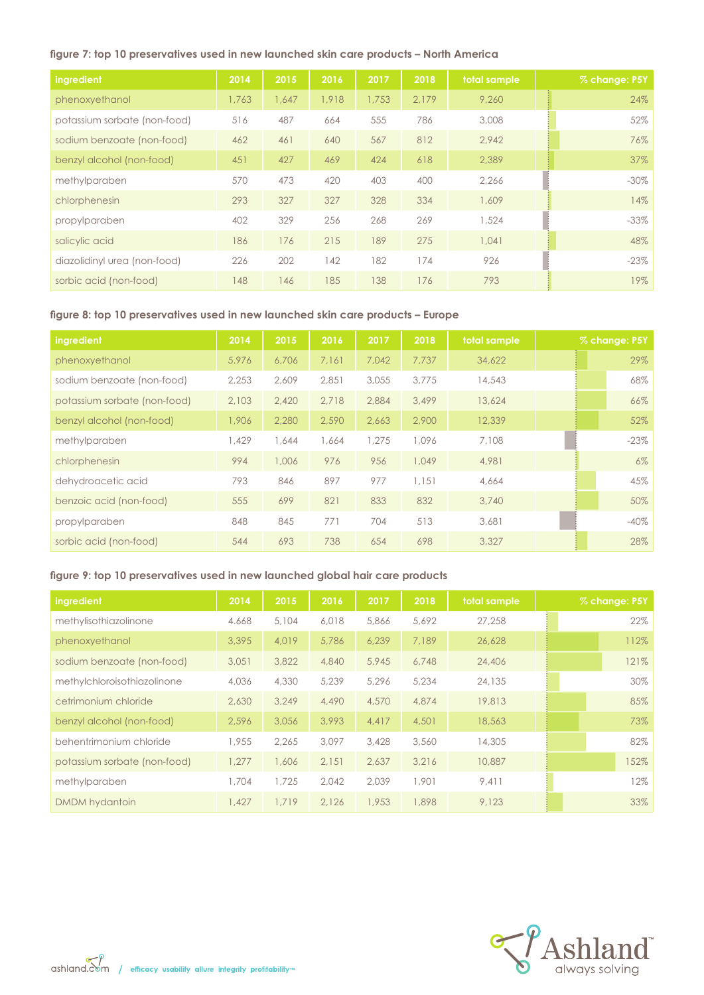#### **figure 7: top 10 preservatives used in new launched skin care products – North America**

| <b>ingredient</b>            | 2014  | 2015  | 2016  | 2017  | 2018  | total sample | % change: P5Y |
|------------------------------|-------|-------|-------|-------|-------|--------------|---------------|
| phenoxyethanol               | 1,763 | 1.647 | 1,918 | 1,753 | 2.179 | 9,260        | 24%           |
| potassium sorbate (non-food) | 516   | 487   | 664   | 555   | 786   | 3,008        | 52%           |
| sodium benzoate (non-food)   | 462   | 461   | 640   | 567   | 812   | 2.942        | 76%           |
| benzyl alcohol (non-food)    | 451   | 427   | 469   | 424   | 618   | 2,389        | 37%           |
| methylparaben                | 570   | 473   | 420   | 403   | 400   | 2.266        | $-30\%$       |
| chlorphenesin                | 293   | 327   | 327   | 328   | 334   | 1,609        | 14%           |
| propylparaben                | 402   | 329   | 256   | 268   | 269   | 1,524        | $-33\%$       |
| salicylic acid               | 186   | 176   | 215   | 189   | 275   | 1,041        | 48%           |
| diazolidinyl urea (non-food) | 226   | 202   | 142   | 182   | 174   | 926          | $-23\%$       |
| sorbic acid (non-food)       | 148   | 146   | 185   | 138   | 176   | 793          | 19%           |

#### **figure 8: top 10 preservatives used in new launched skin care products – Europe**

| ingredient                   | 2014  | 2015  | 2016  | 2017  | 2018  | total sample | % change: P5Y |
|------------------------------|-------|-------|-------|-------|-------|--------------|---------------|
| phenoxyethanol               | 5.976 | 6,706 | 7,161 | 7.042 | 7,737 | 34,622       | 29%           |
| sodium benzoate (non-food)   | 2.253 | 2,609 | 2,851 | 3,055 | 3,775 | 14,543       | 68%           |
| potassium sorbate (non-food) | 2,103 | 2,420 | 2,718 | 2,884 | 3,499 | 13,624       | 66%           |
| benzyl alcohol (non-food)    | 1,906 | 2,280 | 2,590 | 2,663 | 2,900 | 12,339       | 52%           |
| methylparaben                | 1.429 | 1,644 | 1,664 | 1,275 | 1,096 | 7,108        | $-23\%$       |
| chlorphenesin                | 994   | 1,006 | 976   | 956   | 1,049 | 4,981        | $6\%$         |
| dehydroacetic acid           | 793   | 846   | 897   | 977   | 1,151 | 4,664        | 45%           |
| benzoic acid (non-food)      | 555   | 699   | 821   | 833   | 832   | 3,740        | 50%           |
| propylparaben                | 848   | 845   | 771   | 704   | 513   | 3,681        | $-40\%$       |
| sorbic acid (non-food)       | 544   | 693   | 738   | 654   | 698   | 3,327        | 28%           |

#### **figure 9: top 10 preservatives used in new launched global hair care products**

| ingredient                   | 2014  | 2015  | 2016  | 2017  | 2018  | total sample | % change: P5Y |
|------------------------------|-------|-------|-------|-------|-------|--------------|---------------|
| methylisothiazolinone        | 4.668 | 5,104 | 6,018 | 5,866 | 5.692 | 27,258       | 22%           |
| phenoxyethanol               | 3,395 | 4,019 | 5,786 | 6,239 | 7.189 | 26,628       | 112%          |
| sodium benzoate (non-food)   | 3,051 | 3,822 | 4,840 | 5,945 | 6,748 | 24,406       | 121%          |
| methylchloroisothiazolinone  | 4,036 | 4,330 | 5,239 | 5,296 | 5,234 | 24,135       | 30%           |
| cetrimonium chloride         | 2,630 | 3,249 | 4,490 | 4,570 | 4,874 | 19,813       | 85%           |
| benzyl alcohol (non-food)    | 2,596 | 3,056 | 3,993 | 4,417 | 4,501 | 18,563       | 73%           |
| behentrimonium chloride      | 1,955 | 2,265 | 3,097 | 3,428 | 3,560 | 14,305       | 82%           |
| potassium sorbate (non-food) | 1.277 | 1,606 | 2,151 | 2,637 | 3,216 | 10,887       | 152%          |
| methylparaben                | 1,704 | 1,725 | 2,042 | 2,039 | 1,901 | 9.411        | 12%           |
| DMDM hydantoin               | 1,427 | 1,719 | 2,126 | 1,953 | 1,898 | 9.123        | 33%           |



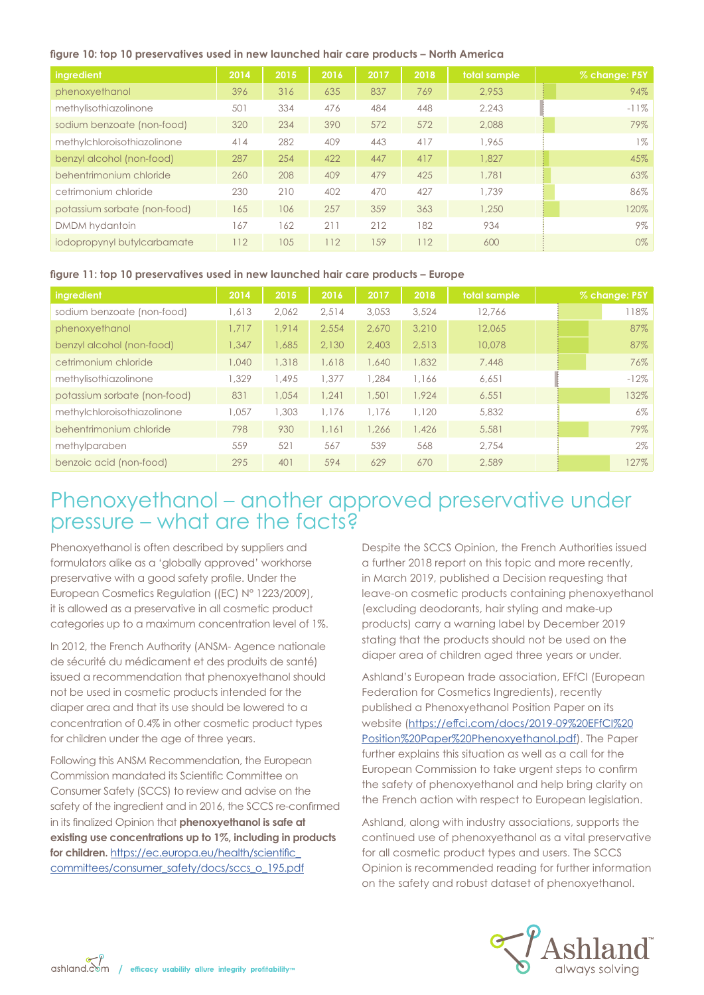#### **figure 10: top 10 preservatives used in new launched hair care products – North America**

| ingredient                   | 2014 | 2015 | 2016 | 2017 | 2018 | total sample | % change: P5Y |
|------------------------------|------|------|------|------|------|--------------|---------------|
| phenoxyethanol               | 396  | 316  | 635  | 837  | 769  | 2.953        | 94%           |
| methylisothiazolinone        | 501  | 334  | 476  | 484  | 448  | 2.243        | $-11%$        |
| sodium benzoate (non-food)   | 320  | 234  | 390  | 572  | 572  | 2,088        | 79%           |
| methylchloroisothiazolinone  | 414  | 282  | 409  | 443  | 417  | 1.965        | $1\%$         |
| benzyl alcohol (non-food)    | 287  | 254  | 422  | 447  | 417  | 1,827        | 45%           |
| behentrimonium chloride      | 260  | 208  | 409  | 479  | 425  | 1,781        | 63%           |
| cetrimonium chloride         | 230  | 210  | 402  | 470  | 427  | 1,739        | 86%           |
| potassium sorbate (non-food) | 165  | 106  | 257  | 359  | 363  | 1,250        | 120%          |
| DMDM hydantoin               | 167  | 62   | 211  | 212  | 182  | 934          | 9%            |
| iodopropynyl butylcarbamate  | 112  | 105  | 112  | 159  | 112  | 600          | 0%            |

#### **figure 11: top 10 preservatives used in new launched hair care products – Europe**

| <b>ingredient</b>            | 2014  | 2015  | 2016  | 2017  | 2018  | total sample | % change: P5Y |        |
|------------------------------|-------|-------|-------|-------|-------|--------------|---------------|--------|
| sodium benzoate (non-food)   | 1.613 | 2,062 | 2,514 | 3,053 | 3,524 | 12.766       |               | 118%   |
| phenoxyethanol               | 1.717 | 1.914 | 2.554 | 2.670 | 3,210 | 12,065       |               | 87%    |
| benzyl alcohol (non-food)    | .347  | 1,685 | 2,130 | 2,403 | 2,513 | 10,078       |               | 87%    |
| cetrimonium chloride         | 1,040 | 1,318 | 1,618 | 1,640 | 1,832 | 7,448        |               | 76%    |
| methylisothiazolinone        | 1,329 | 1,495 | 1,377 | 1.284 | 1,166 | 6.651        |               | $-12%$ |
| potassium sorbate (non-food) | 831   | 1,054 | 1.241 | 1,501 | 1.924 | 6.551        |               | 132%   |
| methylchloroisothiazolinone  | .057  | 1,303 | 1.176 | 1,176 | 1,120 | 5,832        |               | 6%     |
| behentrimonium chloride      | 798   | 930   | 1,161 | 1,266 | 1,426 | 5,581        |               | 79%    |
| methylparaben                | 559   | 521   | 567   | 539   | 568   | 2.754        |               | $2\%$  |
| benzoic acid (non-food)      | 295   | 401   | 594   | 629   | 670   | 2,589        |               | 127%   |

### Phenoxyethanol – another approved preservative under pressure – what are the facts?

Phenoxyethanol is often described by suppliers and formulators alike as a 'globally approved' workhorse preservative with a good safety profile. Under the European Cosmetics Regulation ((EC) N° 1223/2009), it is allowed as a preservative in all cosmetic product categories up to a maximum concentration level of 1%.

In 2012, the French Authority (ANSM- Agence nationale de sécurité du médicament et des produits de santé) issued a recommendation that phenoxyethanol should not be used in cosmetic products intended for the diaper area and that its use should be lowered to a concentration of 0.4% in other cosmetic product types for children under the age of three years.

Following this ANSM Recommendation, the European Commission mandated its Scientific Committee on Consumer Safety (SCCS) to review and advise on the safety of the ingredient and in 2016, the SCCS re-confirmed in its finalized Opinion that **phenoxyethanol is safe at existing use concentrations up to 1%, including in products for children.** https://ec.europa.eu/health/scientific\_ committees/consumer\_safety/docs/sccs\_o\_195.pdf

Despite the SCCS Opinion, the French Authorities issued a further 2018 report on this topic and more recently, in March 2019, published a Decision requesting that leave-on cosmetic products containing phenoxyethanol (excluding deodorants, hair styling and make-up products) carry a warning label by December 2019 stating that the products should not be used on the diaper area of children aged three years or under.

Ashland's European trade association, EFfCI (European Federation for Cosmetics Ingredients), recently published a Phenoxyethanol Position Paper on its website (https://effci.com/docs/2019-09%20EFfCI%20 Position%20Paper%20Phenoxyethanol.pdf). The Paper further explains this situation as well as a call for the European Commission to take urgent steps to confirm the safety of phenoxyethanol and help bring clarity on the French action with respect to European legislation.

Ashland, along with industry associations, supports the continued use of phenoxyethanol as a vital preservative for all cosmetic product types and users. The SCCS Opinion is recommended reading for further information on the safety and robust dataset of phenoxyethanol.